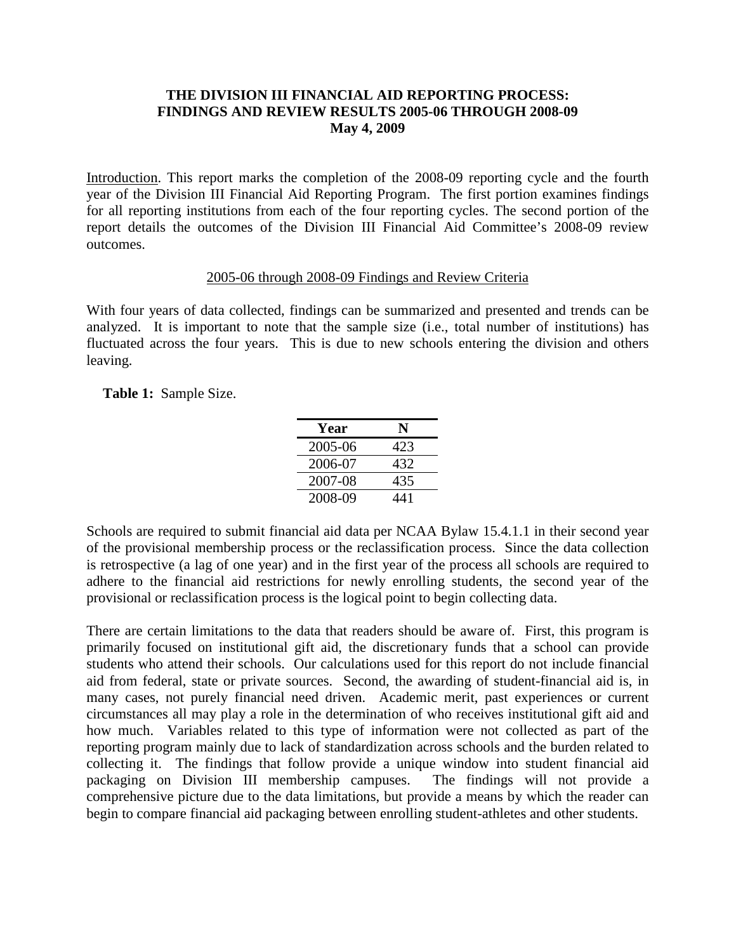## **THE DIVISION III FINANCIAL AID REPORTING PROCESS: FINDINGS AND REVIEW RESULTS 2005-06 THROUGH 2008-09 May 4, 2009**

Introduction. This report marks the completion of the 2008-09 reporting cycle and the fourth year of the Division III Financial Aid Reporting Program. The first portion examines findings for all reporting institutions from each of the four reporting cycles. The second portion of the report details the outcomes of the Division III Financial Aid Committee's 2008-09 review outcomes.

#### 2005-06 through 2008-09 Findings and Review Criteria

With four years of data collected, findings can be summarized and presented and trends can be analyzed. It is important to note that the sample size (i.e., total number of institutions) has fluctuated across the four years. This is due to new schools entering the division and others leaving.

**Table 1:** Sample Size.

| Year    | N   |
|---------|-----|
| 2005-06 | 423 |
| 2006-07 | 432 |
| 2007-08 | 435 |
| 2008-09 | 441 |

Schools are required to submit financial aid data per NCAA Bylaw 15.4.1.1 in their second year of the provisional membership process or the reclassification process. Since the data collection is retrospective (a lag of one year) and in the first year of the process all schools are required to adhere to the financial aid restrictions for newly enrolling students, the second year of the provisional or reclassification process is the logical point to begin collecting data.

There are certain limitations to the data that readers should be aware of. First, this program is primarily focused on institutional gift aid, the discretionary funds that a school can provide students who attend their schools. Our calculations used for this report do not include financial aid from federal, state or private sources. Second, the awarding of student-financial aid is, in many cases, not purely financial need driven. Academic merit, past experiences or current circumstances all may play a role in the determination of who receives institutional gift aid and how much. Variables related to this type of information were not collected as part of the reporting program mainly due to lack of standardization across schools and the burden related to collecting it. The findings that follow provide a unique window into student financial aid packaging on Division III membership campuses. The findings will not provide a comprehensive picture due to the data limitations, but provide a means by which the reader can begin to compare financial aid packaging between enrolling student-athletes and other students.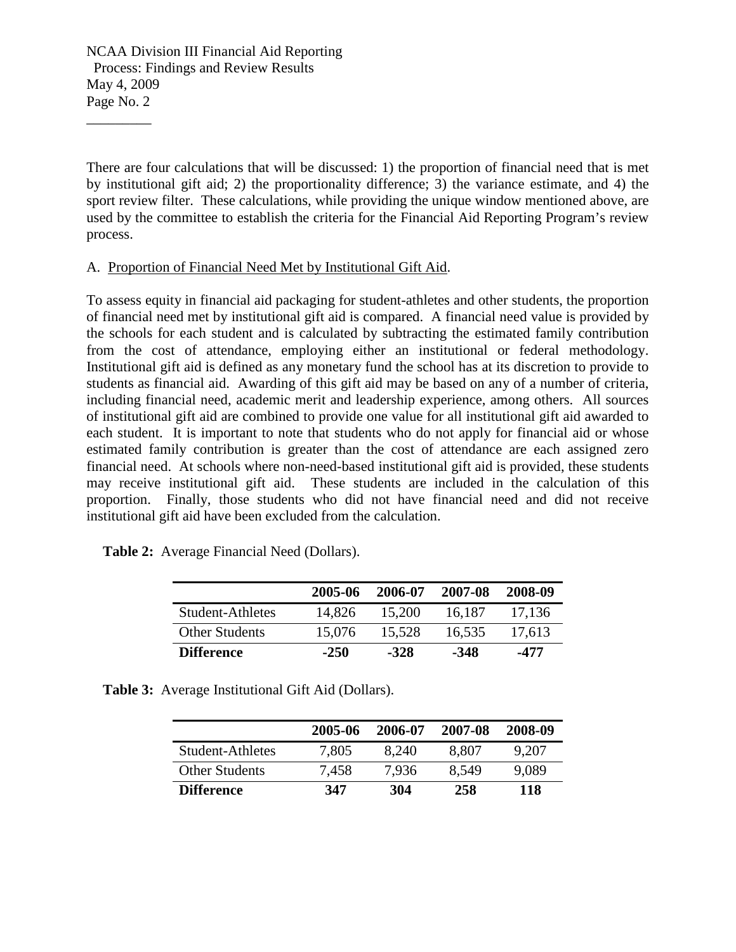\_\_\_\_\_\_\_\_\_

There are four calculations that will be discussed: 1) the proportion of financial need that is met by institutional gift aid; 2) the proportionality difference; 3) the variance estimate, and 4) the sport review filter. These calculations, while providing the unique window mentioned above, are used by the committee to establish the criteria for the Financial Aid Reporting Program's review process.

#### A. Proportion of Financial Need Met by Institutional Gift Aid.

To assess equity in financial aid packaging for student-athletes and other students, the proportion of financial need met by institutional gift aid is compared. A financial need value is provided by the schools for each student and is calculated by subtracting the estimated family contribution from the cost of attendance, employing either an institutional or federal methodology. Institutional gift aid is defined as any monetary fund the school has at its discretion to provide to students as financial aid. Awarding of this gift aid may be based on any of a number of criteria, including financial need, academic merit and leadership experience, among others. All sources of institutional gift aid are combined to provide one value for all institutional gift aid awarded to each student. It is important to note that students who do not apply for financial aid or whose estimated family contribution is greater than the cost of attendance are each assigned zero financial need. At schools where non-need-based institutional gift aid is provided, these students may receive institutional gift aid. These students are included in the calculation of this proportion. Finally, those students who did not have financial need and did not receive institutional gift aid have been excluded from the calculation.

|  | <b>Table 2:</b> Average Financial Need (Dollars). |  |
|--|---------------------------------------------------|--|
|--|---------------------------------------------------|--|

|                       | 2005-06 | 2006-07 | 2007-08 | 2008-09 |
|-----------------------|---------|---------|---------|---------|
| Student-Athletes      | 14.826  | 15.200  | 16.187  | 17.136  |
| <b>Other Students</b> | 15,076  | 15,528  | 16,535  | 17,613  |
| <b>Difference</b>     | $-250$  | $-328$  | -348    | -477    |

|  |  | <b>Table 3:</b> Average Institutional Gift Aid (Dollars). |  |  |
|--|--|-----------------------------------------------------------|--|--|
|--|--|-----------------------------------------------------------|--|--|

|                       | 2005-06 | 2006-07 | 2007-08 | 2008-09 |
|-----------------------|---------|---------|---------|---------|
| Student-Athletes      | 7,805   | 8.240   | 8.807   | 9.207   |
| <b>Other Students</b> | 7.458   | 7.936   | 8.549   | 9.089   |
| <b>Difference</b>     | 347     | 304     | 258     | 118     |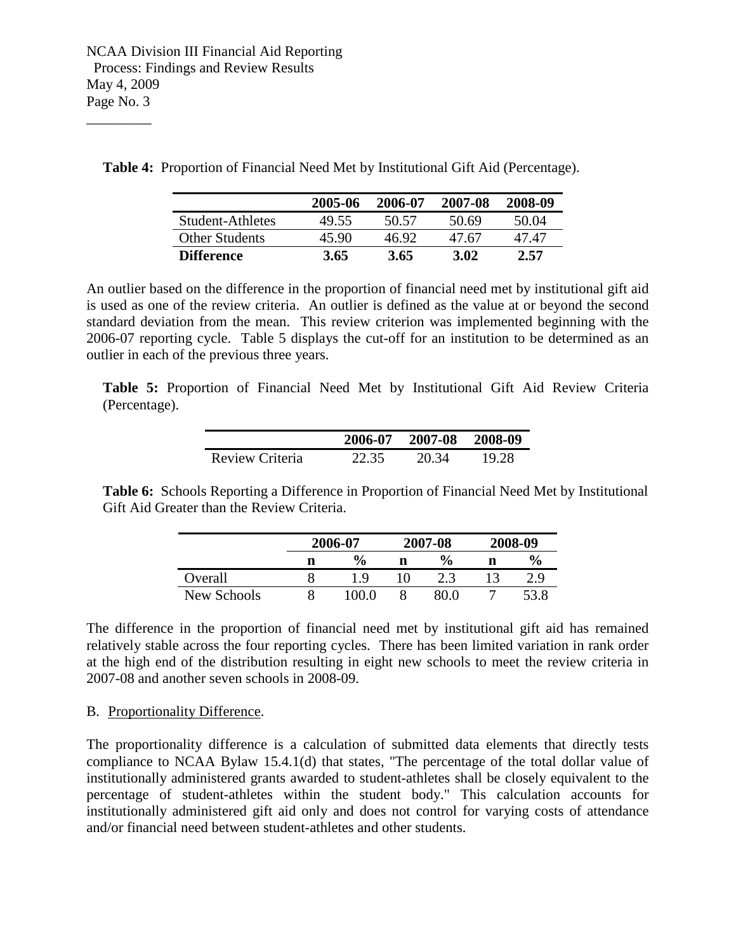\_\_\_\_\_\_\_\_\_

 **Table 4:** Proportion of Financial Need Met by Institutional Gift Aid (Percentage).

|                       | 2005-06 | 2006-07 | 2007-08 | 2008-09 |
|-----------------------|---------|---------|---------|---------|
| Student-Athletes      | 49.55   | 50.57   | 50.69   | 50.04   |
| <b>Other Students</b> | 45.90   | 46.92   | 47.67   | 47 47   |
| <b>Difference</b>     | 3.65    | 3.65    | 3.02    | 2.57    |

An outlier based on the difference in the proportion of financial need met by institutional gift aid is used as one of the review criteria. An outlier is defined as the value at or beyond the second standard deviation from the mean. This review criterion was implemented beginning with the 2006-07 reporting cycle. Table 5 displays the cut-off for an institution to be determined as an outlier in each of the previous three years.

**Table 5:** Proportion of Financial Need Met by Institutional Gift Aid Review Criteria (Percentage).

|                 | 2006-07 | 2007-08 2008-09 |       |
|-----------------|---------|-----------------|-------|
| Review Criteria | 22.35   | 20.34           | 19.28 |

**Table 6:** Schools Reporting a Difference in Proportion of Financial Need Met by Institutional Gift Aid Greater than the Review Criteria.

|             |   | 2006-07       |   | 2007-08       | 2008-09 |               |
|-------------|---|---------------|---|---------------|---------|---------------|
|             | n | $\frac{6}{9}$ | n | $\frac{0}{0}$ |         | $\frac{6}{9}$ |
| Overall     |   | Q             |   |               |         | າ ດ           |
| New Schools |   | ם חם י        |   |               |         |               |

The difference in the proportion of financial need met by institutional gift aid has remained relatively stable across the four reporting cycles. There has been limited variation in rank order at the high end of the distribution resulting in eight new schools to meet the review criteria in 2007-08 and another seven schools in 2008-09.

#### B. Proportionality Difference.

The proportionality difference is a calculation of submitted data elements that directly tests compliance to NCAA Bylaw 15.4.1(d) that states, "The percentage of the total dollar value of institutionally administered grants awarded to student-athletes shall be closely equivalent to the percentage of student-athletes within the student body." This calculation accounts for institutionally administered gift aid only and does not control for varying costs of attendance and/or financial need between student-athletes and other students.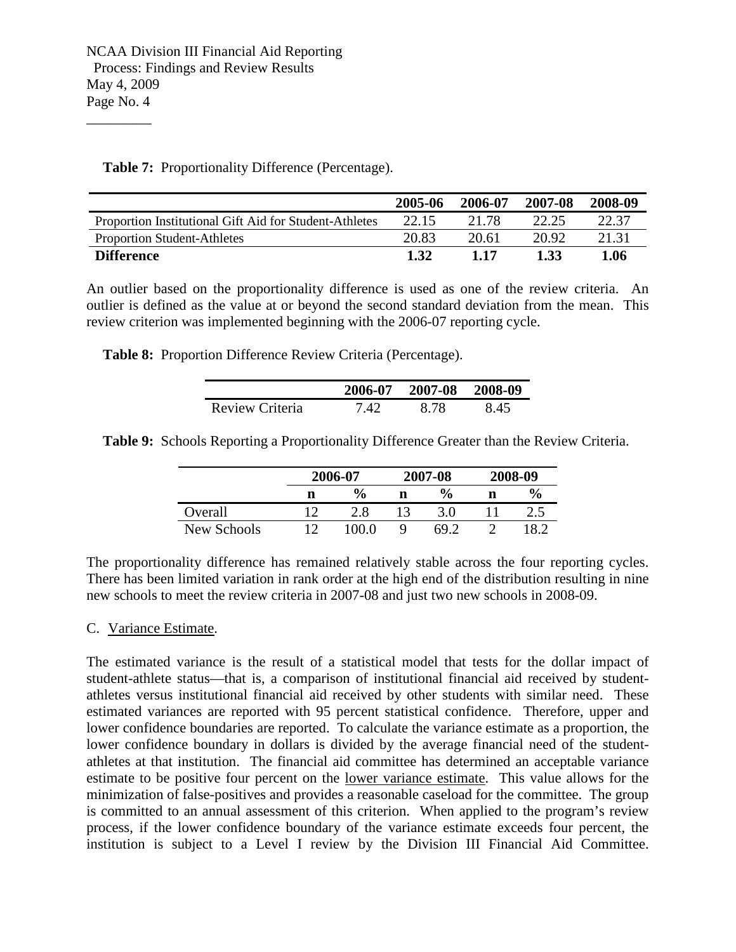\_\_\_\_\_\_\_\_\_

|                                                        | 2005-06 | 2006-07 | 2007-08 | 2008-09 |
|--------------------------------------------------------|---------|---------|---------|---------|
| Proportion Institutional Gift Aid for Student-Athletes | 22.15   | 21.78   | 22.25   | 22.37   |
| <b>Proportion Student-Athletes</b>                     | 20.83   | 20.61   | 20.92   | 21.31   |
| <b>Difference</b>                                      | 1.32    | 1 17    | 1.33    | 1.06    |

**Table 7:** Proportionality Difference (Percentage).

An outlier based on the proportionality difference is used as one of the review criteria. An outlier is defined as the value at or beyond the second standard deviation from the mean. This review criterion was implemented beginning with the 2006-07 reporting cycle.

**Table 8:** Proportion Difference Review Criteria (Percentage).

|                 |      | 2006-07 2007-08 2008-09 |     |
|-----------------|------|-------------------------|-----|
| Review Criteria | 7.42 | 8.78                    | 845 |

**Table 9:** Schools Reporting a Proportionality Difference Greater than the Review Criteria.

|             |   | 2006-07       |  | 2007-08       | 2008-09 |               |
|-------------|---|---------------|--|---------------|---------|---------------|
|             | n | $\frac{6}{6}$ |  | $\frac{6}{9}$ |         | $\frac{6}{9}$ |
| Overall     |   | 2.8           |  |               |         |               |
| New Schools |   |               |  | $69^{\circ}$  |         |               |

The proportionality difference has remained relatively stable across the four reporting cycles. There has been limited variation in rank order at the high end of the distribution resulting in nine new schools to meet the review criteria in 2007-08 and just two new schools in 2008-09.

## C. Variance Estimate.

The estimated variance is the result of a statistical model that tests for the dollar impact of student-athlete status—that is, a comparison of institutional financial aid received by studentathletes versus institutional financial aid received by other students with similar need. These estimated variances are reported with 95 percent statistical confidence. Therefore, upper and lower confidence boundaries are reported. To calculate the variance estimate as a proportion, the lower confidence boundary in dollars is divided by the average financial need of the studentathletes at that institution. The financial aid committee has determined an acceptable variance estimate to be positive four percent on the lower variance estimate. This value allows for the minimization of false-positives and provides a reasonable caseload for the committee. The group is committed to an annual assessment of this criterion. When applied to the program's review process, if the lower confidence boundary of the variance estimate exceeds four percent, the institution is subject to a Level I review by the Division III Financial Aid Committee.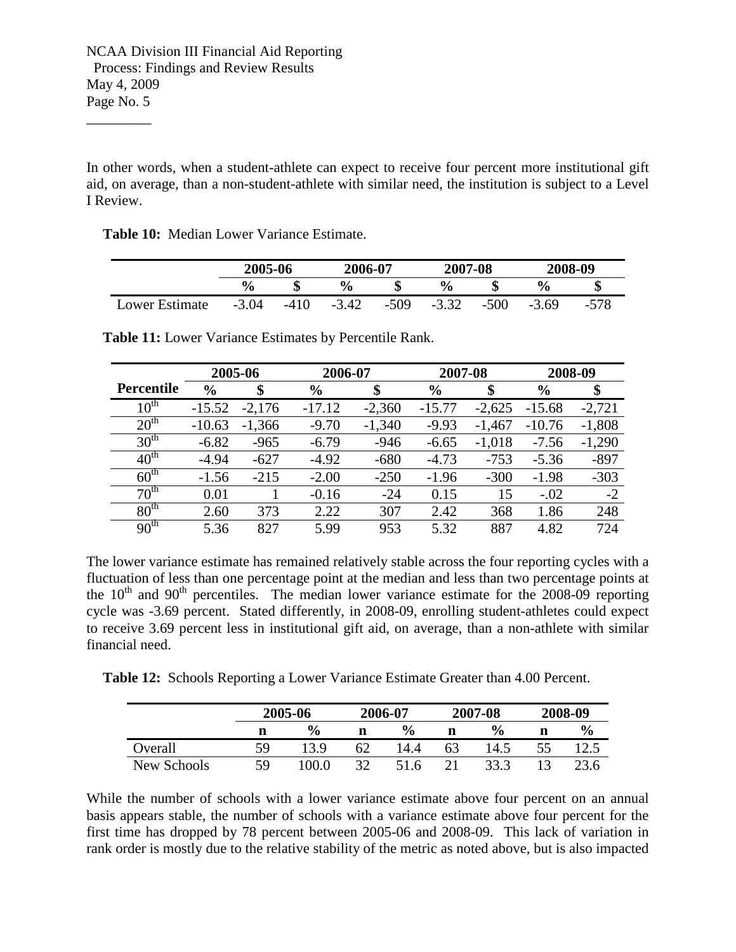\_\_\_\_\_\_\_\_\_

In other words, when a student-athlete can expect to receive four percent more institutional gift aid, on average, than a non-student-athlete with similar need, the institution is subject to a Level I Review.

**Table 10:** Median Lower Variance Estimate.

|                | 2005-06       |      | 2006-07       |        | 2007-08 |        | 2008-09        |      |
|----------------|---------------|------|---------------|--------|---------|--------|----------------|------|
|                | $\frac{6}{9}$ |      | $\frac{6}{9}$ | æ      | $\%$    |        | $\frac{6}{10}$ |      |
| Lower Estimate | $-3.04$       | -410 | $-3.42$       | $-509$ | $-3.32$ | $-500$ | $-3.69$        | -578 |

|                   |               | 2005-06  | 2006-07       |          | 2007-08       |          | 2008-09       |          |
|-------------------|---------------|----------|---------------|----------|---------------|----------|---------------|----------|
| <b>Percentile</b> | $\frac{6}{6}$ | \$       | $\frac{6}{6}$ | \$       | $\frac{0}{0}$ | \$       | $\frac{6}{6}$ | \$       |
| $10^{\text{th}}$  | $-15.52$      | $-2,176$ | $-17.12$      | $-2,360$ | $-15.77$      | $-2,625$ | $-15.68$      | $-2,721$ |
| 20 <sup>th</sup>  | $-10.63$      | $-1,366$ | $-9.70$       | $-1,340$ | $-9.93$       | $-1,467$ | $-10.76$      | $-1,808$ |
| 30 <sup>th</sup>  | $-6.82$       | $-965$   | $-6.79$       | $-946$   | $-6.65$       | $-1,018$ | $-7.56$       | $-1,290$ |
| $40^{\text{th}}$  | $-4.94$       | $-627$   | $-4.92$       | $-680$   | $-4.73$       | $-753$   | $-5.36$       | $-897$   |
| $60^{\text{th}}$  | $-1.56$       | $-215$   | $-2.00$       | $-250$   | $-1.96$       | $-300$   | $-1.98$       | $-303$   |
| 70 <sup>th</sup>  | 0.01          |          | $-0.16$       | $-24$    | 0.15          | 15       | $-.02$        | $-2$     |
| 80 <sup>th</sup>  | 2.60          | 373      | 2.22          | 307      | 2.42          | 368      | 1.86          | 248      |
| 90 <sup>th</sup>  | 5.36          | 827      | 5.99          | 953      | 5.32          | 887      | 4.82          | 724      |

**Table 11:** Lower Variance Estimates by Percentile Rank.

The lower variance estimate has remained relatively stable across the four reporting cycles with a fluctuation of less than one percentage point at the median and less than two percentage points at the  $10<sup>th</sup>$  and  $90<sup>th</sup>$  percentiles. The median lower variance estimate for the 2008-09 reporting cycle was -3.69 percent. Stated differently, in 2008-09, enrolling student-athletes could expect to receive 3.69 percent less in institutional gift aid, on average, than a non-athlete with similar financial need.

|  |  |  |  |  | Table 12: Schools Reporting a Lower Variance Estimate Greater than 4.00 Percent. |
|--|--|--|--|--|----------------------------------------------------------------------------------|
|--|--|--|--|--|----------------------------------------------------------------------------------|

|             | 2005-06 |               | 2006-07 |               | 2007-08 |                | 2008-09 |               |
|-------------|---------|---------------|---------|---------------|---------|----------------|---------|---------------|
|             | n       | $\frac{6}{9}$ | n       | $\frac{6}{9}$ | n       | $\frac{6}{10}$ | n       | $\frac{1}{2}$ |
| Overall     | 59      | 13 Q          | 62      | 14.4          | 63      | 14.5           |         |               |
| New Schools | 59      | .00.0         | 20      | 51 6          |         | 33.3           |         | 23.6          |

While the number of schools with a lower variance estimate above four percent on an annual basis appears stable, the number of schools with a variance estimate above four percent for the first time has dropped by 78 percent between 2005-06 and 2008-09. This lack of variation in rank order is mostly due to the relative stability of the metric as noted above, but is also impacted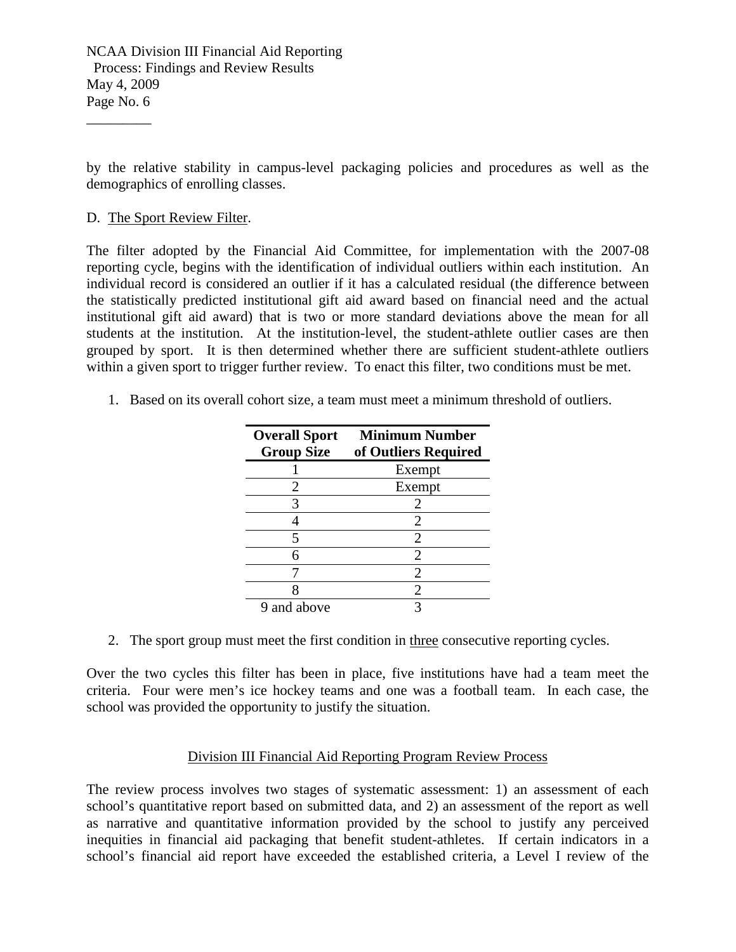by the relative stability in campus-level packaging policies and procedures as well as the demographics of enrolling classes.

## D. The Sport Review Filter.

\_\_\_\_\_\_\_\_\_

The filter adopted by the Financial Aid Committee, for implementation with the 2007-08 reporting cycle, begins with the identification of individual outliers within each institution. An individual record is considered an outlier if it has a calculated residual (the difference between the statistically predicted institutional gift aid award based on financial need and the actual institutional gift aid award) that is two or more standard deviations above the mean for all students at the institution. At the institution-level, the student-athlete outlier cases are then grouped by sport. It is then determined whether there are sufficient student-athlete outliers within a given sport to trigger further review. To enact this filter, two conditions must be met.

1. Based on its overall cohort size, a team must meet a minimum threshold of outliers.

| <b>Overall Sport</b> | <b>Minimum Number</b> |
|----------------------|-----------------------|
| <b>Group Size</b>    | of Outliers Required  |
|                      | Exempt                |
| 2                    | Exempt                |
|                      | 2                     |
|                      | 2                     |
| 5                    | 2                     |
| 6                    | 2                     |
|                      | $\mathfrak{D}$        |
|                      | 2                     |
| 9 and above          |                       |

2. The sport group must meet the first condition in three consecutive reporting cycles.

Over the two cycles this filter has been in place, five institutions have had a team meet the criteria. Four were men's ice hockey teams and one was a football team. In each case, the school was provided the opportunity to justify the situation.

## Division III Financial Aid Reporting Program Review Process

The review process involves two stages of systematic assessment: 1) an assessment of each school's quantitative report based on submitted data, and 2) an assessment of the report as well as narrative and quantitative information provided by the school to justify any perceived inequities in financial aid packaging that benefit student-athletes. If certain indicators in a school's financial aid report have exceeded the established criteria, a Level I review of the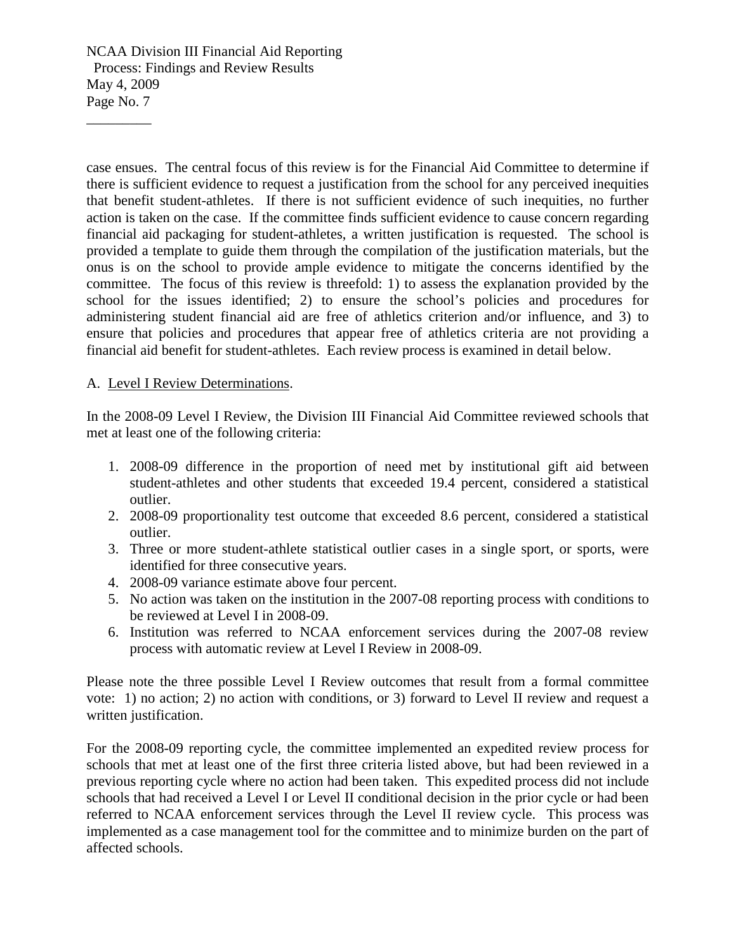\_\_\_\_\_\_\_\_\_

case ensues. The central focus of this review is for the Financial Aid Committee to determine if there is sufficient evidence to request a justification from the school for any perceived inequities that benefit student-athletes. If there is not sufficient evidence of such inequities, no further action is taken on the case. If the committee finds sufficient evidence to cause concern regarding financial aid packaging for student-athletes, a written justification is requested. The school is provided a template to guide them through the compilation of the justification materials, but the onus is on the school to provide ample evidence to mitigate the concerns identified by the committee. The focus of this review is threefold: 1) to assess the explanation provided by the school for the issues identified; 2) to ensure the school's policies and procedures for administering student financial aid are free of athletics criterion and/or influence, and 3) to ensure that policies and procedures that appear free of athletics criteria are not providing a financial aid benefit for student-athletes. Each review process is examined in detail below.

## A. Level I Review Determinations.

In the 2008-09 Level I Review, the Division III Financial Aid Committee reviewed schools that met at least one of the following criteria:

- 1. 2008-09 difference in the proportion of need met by institutional gift aid between student-athletes and other students that exceeded 19.4 percent, considered a statistical outlier.
- 2. 2008-09 proportionality test outcome that exceeded 8.6 percent, considered a statistical outlier.
- 3. Three or more student-athlete statistical outlier cases in a single sport, or sports, were identified for three consecutive years.
- 4. 2008-09 variance estimate above four percent.
- 5. No action was taken on the institution in the 2007-08 reporting process with conditions to be reviewed at Level I in 2008-09.
- 6. Institution was referred to NCAA enforcement services during the 2007-08 review process with automatic review at Level I Review in 2008-09.

Please note the three possible Level I Review outcomes that result from a formal committee vote: 1) no action; 2) no action with conditions, or 3) forward to Level II review and request a written justification.

For the 2008-09 reporting cycle, the committee implemented an expedited review process for schools that met at least one of the first three criteria listed above, but had been reviewed in a previous reporting cycle where no action had been taken. This expedited process did not include schools that had received a Level I or Level II conditional decision in the prior cycle or had been referred to NCAA enforcement services through the Level II review cycle. This process was implemented as a case management tool for the committee and to minimize burden on the part of affected schools.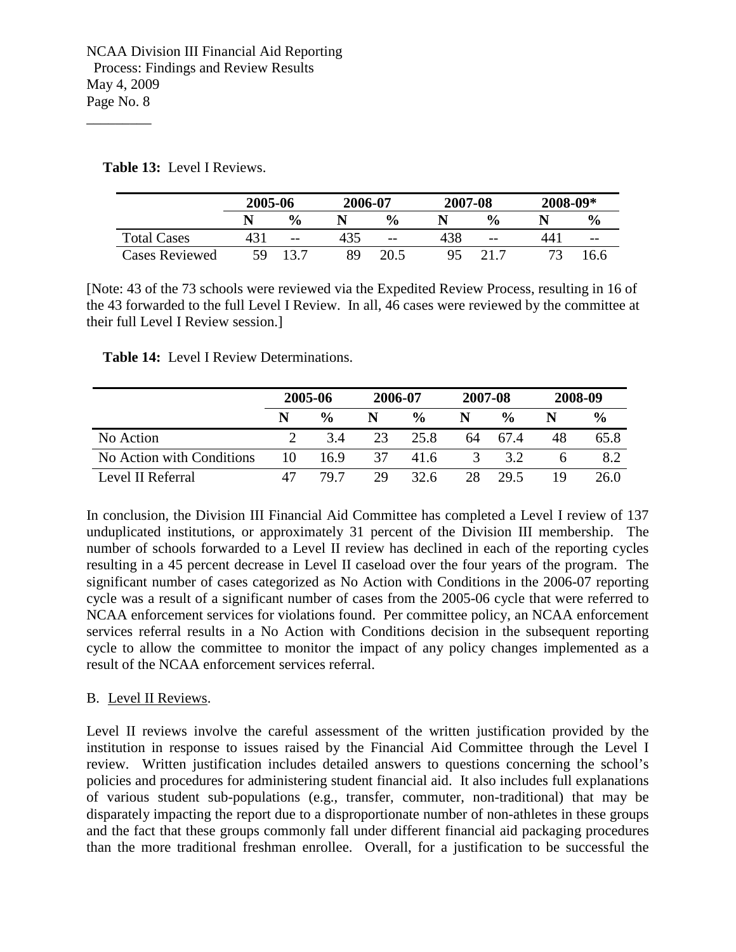**Table 13:** Level I Reviews.

\_\_\_\_\_\_\_\_\_

|                       | 2005-06 |               | 2006-07 |               | 2007-08 |               | 2008-09* |               |
|-----------------------|---------|---------------|---------|---------------|---------|---------------|----------|---------------|
|                       |         | $\frac{0}{0}$ |         | $\frac{0}{0}$ |         | $\frac{0}{0}$ |          | $\frac{0}{0}$ |
| <b>Total Cases</b>    | 431     | $- -$         |         | $- -$         | 438     | $- -$         | 44.      | $- -$         |
| <b>Cases Reviewed</b> | 59      |               | 89      |               | 95      |               |          | 6.6           |

[Note: 43 of the 73 schools were reviewed via the Expedited Review Process, resulting in 16 of the 43 forwarded to the full Level I Review. In all, 46 cases were reviewed by the committee at their full Level I Review session.]

**Table 14:** Level I Review Determinations.

|                           | 2005-06 |               |    | 2006-07       |               | 2007-08       |    | 2008-09       |  |
|---------------------------|---------|---------------|----|---------------|---------------|---------------|----|---------------|--|
|                           | N       | $\frac{0}{0}$ |    | $\frac{0}{0}$ |               | $\frac{0}{0}$ |    | $\frac{0}{0}$ |  |
| No Action                 |         | 3.4           | 23 | 25.8          | 64            | 67.4          | 48 | 65.8          |  |
| No Action with Conditions | 10      | 16.9          | 37 | 41.6          | $\mathcal{R}$ | 3.2           |    | 8.2           |  |
| Level II Referral         |         | 79 7          | 29 | 32.6          | 28            | 29.5          | 19 | 26.0          |  |

In conclusion, the Division III Financial Aid Committee has completed a Level I review of 137 unduplicated institutions, or approximately 31 percent of the Division III membership. The number of schools forwarded to a Level II review has declined in each of the reporting cycles resulting in a 45 percent decrease in Level II caseload over the four years of the program. The significant number of cases categorized as No Action with Conditions in the 2006-07 reporting cycle was a result of a significant number of cases from the 2005-06 cycle that were referred to NCAA enforcement services for violations found. Per committee policy, an NCAA enforcement services referral results in a No Action with Conditions decision in the subsequent reporting cycle to allow the committee to monitor the impact of any policy changes implemented as a result of the NCAA enforcement services referral.

## B. Level II Reviews.

Level II reviews involve the careful assessment of the written justification provided by the institution in response to issues raised by the Financial Aid Committee through the Level I review. Written justification includes detailed answers to questions concerning the school's policies and procedures for administering student financial aid. It also includes full explanations of various student sub-populations (e.g., transfer, commuter, non-traditional) that may be disparately impacting the report due to a disproportionate number of non-athletes in these groups and the fact that these groups commonly fall under different financial aid packaging procedures than the more traditional freshman enrollee. Overall, for a justification to be successful the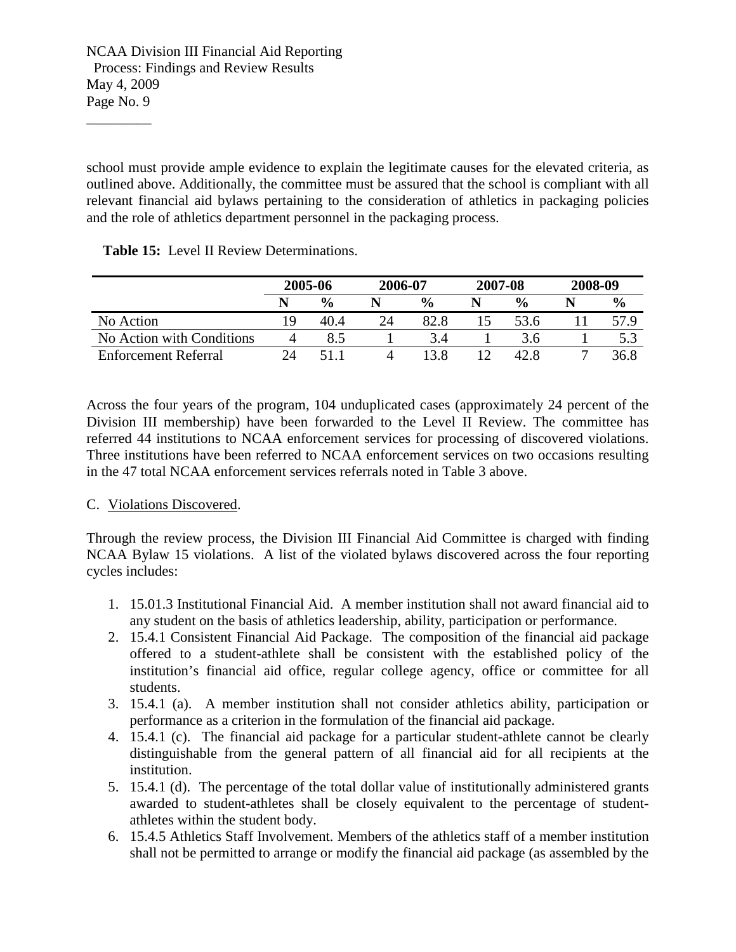\_\_\_\_\_\_\_\_\_

school must provide ample evidence to explain the legitimate causes for the elevated criteria, as outlined above. Additionally, the committee must be assured that the school is compliant with all relevant financial aid bylaws pertaining to the consideration of athletics in packaging policies and the role of athletics department personnel in the packaging process.

**Table 15:** Level II Review Determinations.

|                             | 2005-06 |               | 2006-07 |               | 2007-08<br>2008-09 |  |               |
|-----------------------------|---------|---------------|---------|---------------|--------------------|--|---------------|
|                             |         | $\frac{0}{0}$ |         | $\frac{0}{0}$ | $\frac{6}{6}$      |  | $\frac{6}{9}$ |
| No Action                   | 19      | 40.4          | 24      | 82.8          | 53.6               |  |               |
| No Action with Conditions   |         |               |         |               | 3.6                |  |               |
| <b>Enforcement Referral</b> | 24      |               |         |               |                    |  | 36.8          |

Across the four years of the program, 104 unduplicated cases (approximately 24 percent of the Division III membership) have been forwarded to the Level II Review. The committee has referred 44 institutions to NCAA enforcement services for processing of discovered violations. Three institutions have been referred to NCAA enforcement services on two occasions resulting in the 47 total NCAA enforcement services referrals noted in Table 3 above.

## C. Violations Discovered.

Through the review process, the Division III Financial Aid Committee is charged with finding NCAA Bylaw 15 violations. A list of the violated bylaws discovered across the four reporting cycles includes:

- 1. 15.01.3 Institutional Financial Aid. A member institution shall not award financial aid to any student on the basis of athletics leadership, ability, participation or performance.
- 2. 15.4.1 Consistent Financial Aid Package. The composition of the financial aid package offered to a student-athlete shall be consistent with the established policy of the institution's financial aid office, regular college agency, office or committee for all students.
- 3. 15.4.1 (a). A member institution shall not consider athletics ability, participation or performance as a criterion in the formulation of the financial aid package.
- 4. 15.4.1 (c). The financial aid package for a particular student-athlete cannot be clearly distinguishable from the general pattern of all financial aid for all recipients at the institution.
- 5. 15.4.1 (d). The percentage of the total dollar value of institutionally administered grants awarded to student-athletes shall be closely equivalent to the percentage of studentathletes within the student body.
- 6. 15.4.5 Athletics Staff Involvement. Members of the athletics staff of a member institution shall not be permitted to arrange or modify the financial aid package (as assembled by the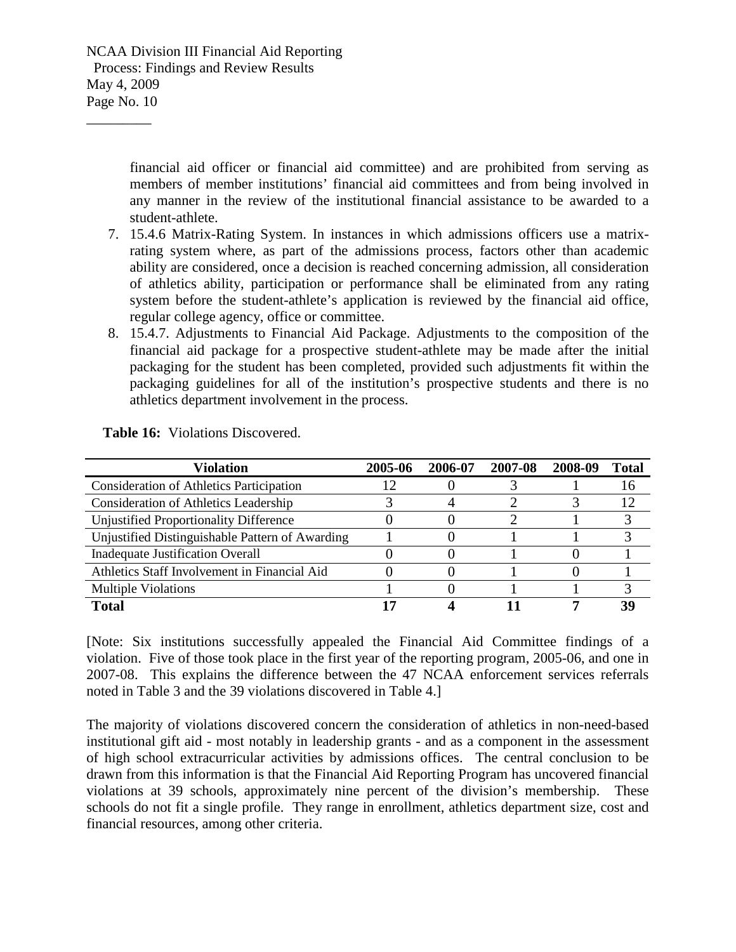\_\_\_\_\_\_\_\_\_

financial aid officer or financial aid committee) and are prohibited from serving as members of member institutions' financial aid committees and from being involved in any manner in the review of the institutional financial assistance to be awarded to a student-athlete.

- 7. 15.4.6 Matrix-Rating System. In instances in which admissions officers use a matrixrating system where, as part of the admissions process, factors other than academic ability are considered, once a decision is reached concerning admission, all consideration of athletics ability, participation or performance shall be eliminated from any rating system before the student-athlete's application is reviewed by the financial aid office, regular college agency, office or committee.
- 8. 15.4.7. Adjustments to Financial Aid Package. Adjustments to the composition of the financial aid package for a prospective student-athlete may be made after the initial packaging for the student has been completed, provided such adjustments fit within the packaging guidelines for all of the institution's prospective students and there is no athletics department involvement in the process.

| <b>Violation</b>                                | 2005-06 | 2006-07 | 2007-08 | 2008-09 | Total           |
|-------------------------------------------------|---------|---------|---------|---------|-----------------|
| <b>Consideration of Athletics Participation</b> |         |         |         |         | 16              |
| <b>Consideration of Athletics Leadership</b>    |         |         |         |         | $\overline{12}$ |
| Unjustified Proportionality Difference          |         |         |         |         |                 |
| Unjustified Distinguishable Pattern of Awarding |         |         |         |         |                 |
| <b>Inadequate Justification Overall</b>         |         |         |         |         |                 |
| Athletics Staff Involvement in Financial Aid    |         |         |         |         |                 |
| <b>Multiple Violations</b>                      |         |         |         |         |                 |
| Total                                           |         |         |         |         | 39              |

 **Table 16:** Violations Discovered.

[Note: Six institutions successfully appealed the Financial Aid Committee findings of a violation. Five of those took place in the first year of the reporting program, 2005-06, and one in 2007-08. This explains the difference between the 47 NCAA enforcement services referrals noted in Table 3 and the 39 violations discovered in Table 4.]

The majority of violations discovered concern the consideration of athletics in non-need-based institutional gift aid - most notably in leadership grants - and as a component in the assessment of high school extracurricular activities by admissions offices. The central conclusion to be drawn from this information is that the Financial Aid Reporting Program has uncovered financial violations at 39 schools, approximately nine percent of the division's membership. These schools do not fit a single profile. They range in enrollment, athletics department size, cost and financial resources, among other criteria.